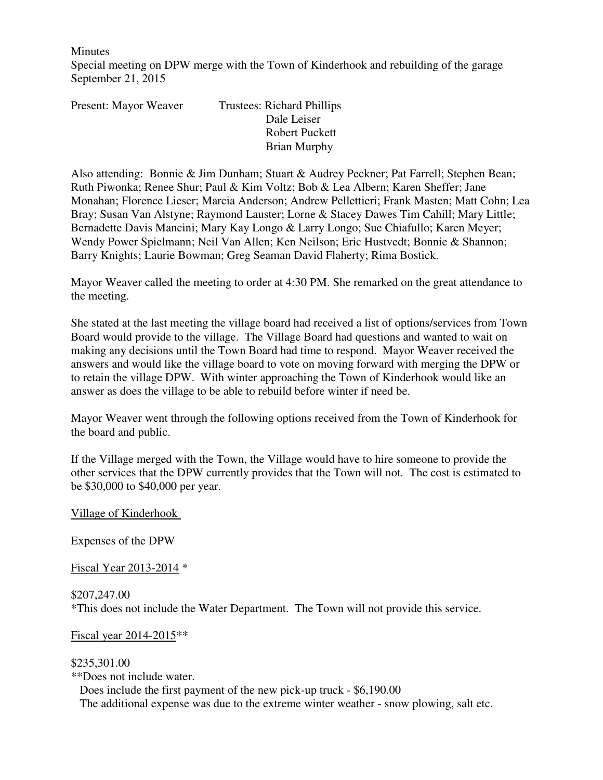**Minutes** 

Special meeting on DPW merge with the Town of Kinderhook and rebuilding of the garage September 21, 2015

| Present: Mayor Weaver | <b>Trustees: Richard Phillips</b> |
|-----------------------|-----------------------------------|
|                       | Dale Leiser                       |
|                       | <b>Robert Puckett</b>             |
|                       | <b>Brian Murphy</b>               |

Also attending: Bonnie & Jim Dunham; Stuart & Audrey Peckner; Pat Farrell; Stephen Bean; Ruth Piwonka; Renee Shur; Paul & Kim Voltz; Bob & Lea Albern; Karen Sheffer; Jane Monahan; Florence Lieser; Marcia Anderson; Andrew Pellettieri; Frank Masten; Matt Cohn; Lea Bray; Susan Van Alstyne; Raymond Lauster; Lorne & Stacey Dawes Tim Cahill; Mary Little; Bernadette Davis Mancini; Mary Kay Longo & Larry Longo; Sue Chiafullo; Karen Meyer; Wendy Power Spielmann; Neil Van Allen; Ken Neilson; Eric Hustvedt; Bonnie & Shannon; Barry Knights; Laurie Bowman; Greg Seaman David Flaherty; Rima Bostick.

Mayor Weaver called the meeting to order at 4:30 PM. She remarked on the great attendance to the meeting.

She stated at the last meeting the village board had received a list of options/services from Town Board would provide to the village. The Village Board had questions and wanted to wait on making any decisions until the Town Board had time to respond. Mayor Weaver received the answers and would like the village board to vote on moving forward with merging the DPW or to retain the village DPW. With winter approaching the Town of Kinderhook would like an answer as does the village to be able to rebuild before winter if need be.

Mayor Weaver went through the following options received from the Town of Kinderhook for the board and public.

If the Village merged with the Town, the Village would have to hire someone to provide the other services that the DPW currently provides that the Town will not. The cost is estimated to be \$30,000 to \$40,000 per year.

Village of Kinderhook

Expenses of the DPW

Fiscal Year 2013-2014 \*

\$207,247.00 \*This does not include the Water Department. The Town will not provide this service.

Fiscal year 2014-2015\*\*

\$235,301.00 \*\*Does not include water. Does include the first payment of the new pick-up truck - \$6,190.00 The additional expense was due to the extreme winter weather - snow plowing, salt etc.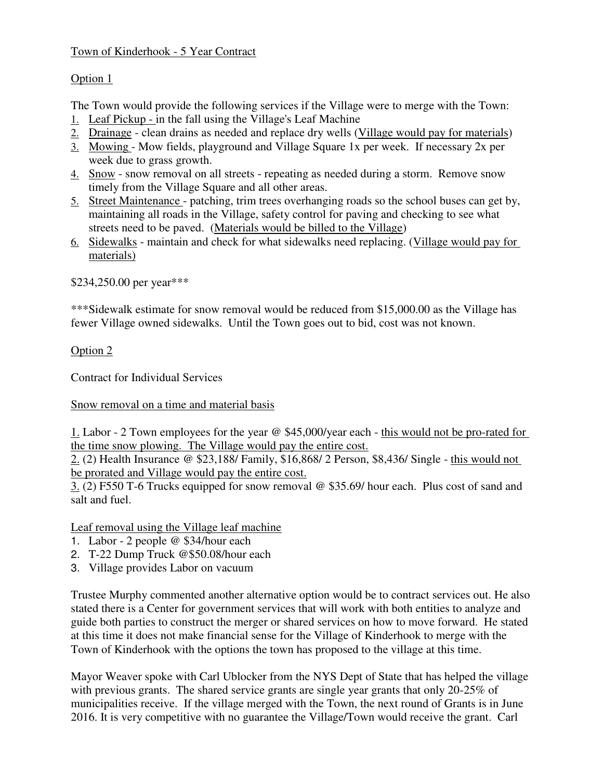## Town of Kinderhook - 5 Year Contract

## Option 1

The Town would provide the following services if the Village were to merge with the Town:

- 1. Leaf Pickup in the fall using the Village's Leaf Machine
- 2. Drainage clean drains as needed and replace dry wells (Village would pay for materials)
- 3. Mowing Mow fields, playground and Village Square 1x per week. If necessary 2x per week due to grass growth.
- 4. Snow snow removal on all streets repeating as needed during a storm. Remove snow timely from the Village Square and all other areas.
- 5. Street Maintenance patching, trim trees overhanging roads so the school buses can get by, maintaining all roads in the Village, safety control for paving and checking to see what streets need to be paved. (Materials would be billed to the Village)
- 6. Sidewalks maintain and check for what sidewalks need replacing. (Village would pay for materials)

\$234,250.00 per year\*\*\*

\*\*\*Sidewalk estimate for snow removal would be reduced from \$15,000.00 as the Village has fewer Village owned sidewalks. Until the Town goes out to bid, cost was not known.

Option 2

Contract for Individual Services

Snow removal on a time and material basis

1. Labor - 2 Town employees for the year @ \$45,000/year each - this would not be pro-rated for the time snow plowing. The Village would pay the entire cost.

2. (2) Health Insurance @ \$23,188/ Family, \$16,868/ 2 Person, \$8,436/ Single - this would not be prorated and Village would pay the entire cost.

3. (2) F550 T-6 Trucks equipped for snow removal @ \$35.69/ hour each. Plus cost of sand and salt and fuel.

Leaf removal using the Village leaf machine

- 1. Labor 2 people @ \$34/hour each
- 2. T-22 Dump Truck @\$50.08/hour each
- 3. Village provides Labor on vacuum

Trustee Murphy commented another alternative option would be to contract services out. He also stated there is a Center for government services that will work with both entities to analyze and guide both parties to construct the merger or shared services on how to move forward. He stated at this time it does not make financial sense for the Village of Kinderhook to merge with the Town of Kinderhook with the options the town has proposed to the village at this time.

Mayor Weaver spoke with Carl Ublocker from the NYS Dept of State that has helped the village with previous grants. The shared service grants are single year grants that only 20-25% of municipalities receive. If the village merged with the Town, the next round of Grants is in June 2016. It is very competitive with no guarantee the Village/Town would receive the grant. Carl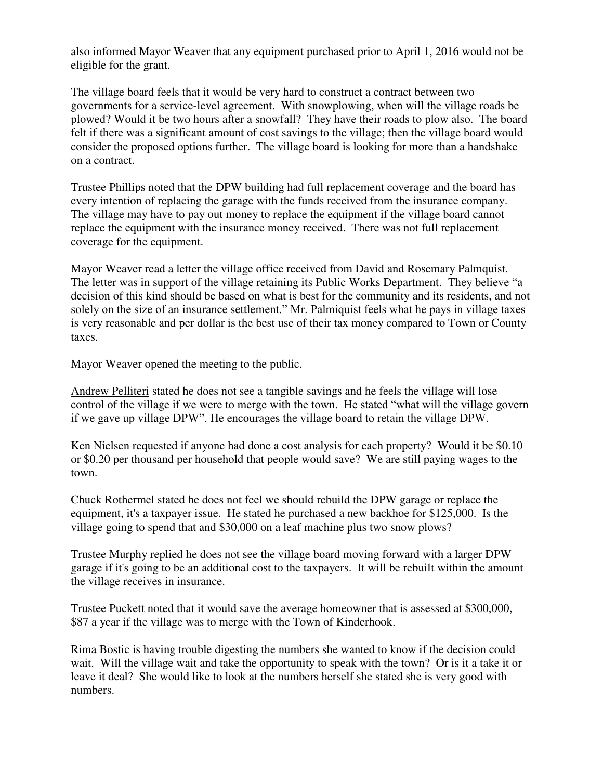also informed Mayor Weaver that any equipment purchased prior to April 1, 2016 would not be eligible for the grant.

The village board feels that it would be very hard to construct a contract between two governments for a service-level agreement. With snowplowing, when will the village roads be plowed? Would it be two hours after a snowfall? They have their roads to plow also. The board felt if there was a significant amount of cost savings to the village; then the village board would consider the proposed options further. The village board is looking for more than a handshake on a contract.

Trustee Phillips noted that the DPW building had full replacement coverage and the board has every intention of replacing the garage with the funds received from the insurance company. The village may have to pay out money to replace the equipment if the village board cannot replace the equipment with the insurance money received. There was not full replacement coverage for the equipment.

Mayor Weaver read a letter the village office received from David and Rosemary Palmquist. The letter was in support of the village retaining its Public Works Department. They believe "a decision of this kind should be based on what is best for the community and its residents, and not solely on the size of an insurance settlement." Mr. Palmiquist feels what he pays in village taxes is very reasonable and per dollar is the best use of their tax money compared to Town or County taxes.

Mayor Weaver opened the meeting to the public.

Andrew Pelliteri stated he does not see a tangible savings and he feels the village will lose control of the village if we were to merge with the town. He stated "what will the village govern if we gave up village DPW". He encourages the village board to retain the village DPW.

Ken Nielsen requested if anyone had done a cost analysis for each property? Would it be \$0.10 or \$0.20 per thousand per household that people would save? We are still paying wages to the town.

Chuck Rothermel stated he does not feel we should rebuild the DPW garage or replace the equipment, it's a taxpayer issue. He stated he purchased a new backhoe for \$125,000. Is the village going to spend that and \$30,000 on a leaf machine plus two snow plows?

Trustee Murphy replied he does not see the village board moving forward with a larger DPW garage if it's going to be an additional cost to the taxpayers. It will be rebuilt within the amount the village receives in insurance.

Trustee Puckett noted that it would save the average homeowner that is assessed at \$300,000, \$87 a year if the village was to merge with the Town of Kinderhook.

Rima Bostic is having trouble digesting the numbers she wanted to know if the decision could wait. Will the village wait and take the opportunity to speak with the town? Or is it a take it or leave it deal? She would like to look at the numbers herself she stated she is very good with numbers.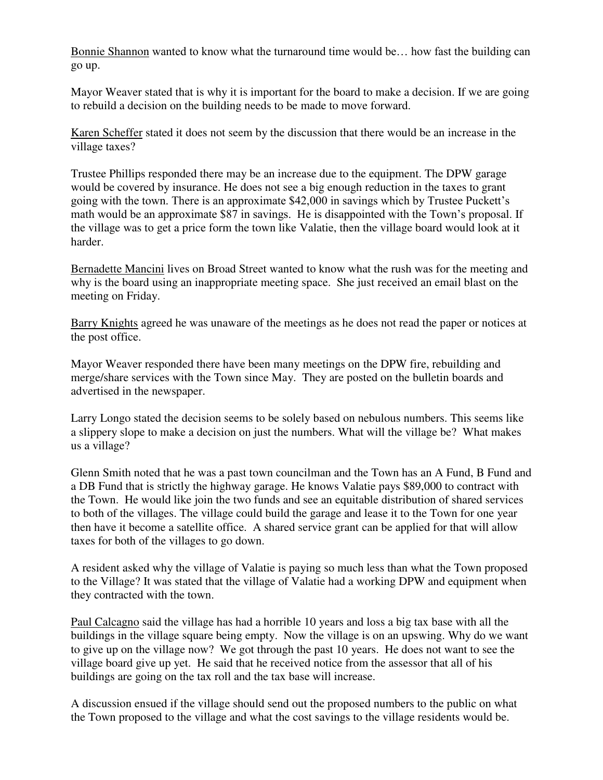Bonnie Shannon wanted to know what the turnaround time would be… how fast the building can go up.

Mayor Weaver stated that is why it is important for the board to make a decision. If we are going to rebuild a decision on the building needs to be made to move forward.

Karen Scheffer stated it does not seem by the discussion that there would be an increase in the village taxes?

Trustee Phillips responded there may be an increase due to the equipment. The DPW garage would be covered by insurance. He does not see a big enough reduction in the taxes to grant going with the town. There is an approximate \$42,000 in savings which by Trustee Puckett's math would be an approximate \$87 in savings. He is disappointed with the Town's proposal. If the village was to get a price form the town like Valatie, then the village board would look at it harder.

Bernadette Mancini lives on Broad Street wanted to know what the rush was for the meeting and why is the board using an inappropriate meeting space. She just received an email blast on the meeting on Friday.

Barry Knights agreed he was unaware of the meetings as he does not read the paper or notices at the post office.

Mayor Weaver responded there have been many meetings on the DPW fire, rebuilding and merge/share services with the Town since May. They are posted on the bulletin boards and advertised in the newspaper.

Larry Longo stated the decision seems to be solely based on nebulous numbers. This seems like a slippery slope to make a decision on just the numbers. What will the village be? What makes us a village?

Glenn Smith noted that he was a past town councilman and the Town has an A Fund, B Fund and a DB Fund that is strictly the highway garage. He knows Valatie pays \$89,000 to contract with the Town. He would like join the two funds and see an equitable distribution of shared services to both of the villages. The village could build the garage and lease it to the Town for one year then have it become a satellite office. A shared service grant can be applied for that will allow taxes for both of the villages to go down.

A resident asked why the village of Valatie is paying so much less than what the Town proposed to the Village? It was stated that the village of Valatie had a working DPW and equipment when they contracted with the town.

Paul Calcagno said the village has had a horrible 10 years and loss a big tax base with all the buildings in the village square being empty. Now the village is on an upswing. Why do we want to give up on the village now? We got through the past 10 years. He does not want to see the village board give up yet. He said that he received notice from the assessor that all of his buildings are going on the tax roll and the tax base will increase.

A discussion ensued if the village should send out the proposed numbers to the public on what the Town proposed to the village and what the cost savings to the village residents would be.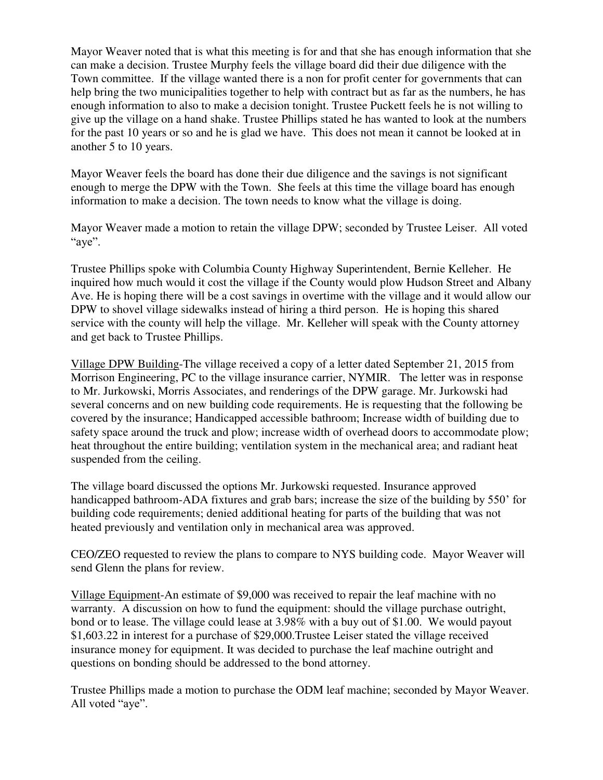Mayor Weaver noted that is what this meeting is for and that she has enough information that she can make a decision. Trustee Murphy feels the village board did their due diligence with the Town committee. If the village wanted there is a non for profit center for governments that can help bring the two municipalities together to help with contract but as far as the numbers, he has enough information to also to make a decision tonight. Trustee Puckett feels he is not willing to give up the village on a hand shake. Trustee Phillips stated he has wanted to look at the numbers for the past 10 years or so and he is glad we have. This does not mean it cannot be looked at in another 5 to 10 years.

Mayor Weaver feels the board has done their due diligence and the savings is not significant enough to merge the DPW with the Town. She feels at this time the village board has enough information to make a decision. The town needs to know what the village is doing.

Mayor Weaver made a motion to retain the village DPW; seconded by Trustee Leiser. All voted "aye".

Trustee Phillips spoke with Columbia County Highway Superintendent, Bernie Kelleher. He inquired how much would it cost the village if the County would plow Hudson Street and Albany Ave. He is hoping there will be a cost savings in overtime with the village and it would allow our DPW to shovel village sidewalks instead of hiring a third person. He is hoping this shared service with the county will help the village. Mr. Kelleher will speak with the County attorney and get back to Trustee Phillips.

Village DPW Building-The village received a copy of a letter dated September 21, 2015 from Morrison Engineering, PC to the village insurance carrier, NYMIR. The letter was in response to Mr. Jurkowski, Morris Associates, and renderings of the DPW garage. Mr. Jurkowski had several concerns and on new building code requirements. He is requesting that the following be covered by the insurance; Handicapped accessible bathroom; Increase width of building due to safety space around the truck and plow; increase width of overhead doors to accommodate plow; heat throughout the entire building; ventilation system in the mechanical area; and radiant heat suspended from the ceiling.

The village board discussed the options Mr. Jurkowski requested. Insurance approved handicapped bathroom-ADA fixtures and grab bars; increase the size of the building by 550' for building code requirements; denied additional heating for parts of the building that was not heated previously and ventilation only in mechanical area was approved.

CEO/ZEO requested to review the plans to compare to NYS building code. Mayor Weaver will send Glenn the plans for review.

Village Equipment-An estimate of \$9,000 was received to repair the leaf machine with no warranty. A discussion on how to fund the equipment: should the village purchase outright, bond or to lease. The village could lease at 3.98% with a buy out of \$1.00. We would payout \$1,603.22 in interest for a purchase of \$29,000.Trustee Leiser stated the village received insurance money for equipment. It was decided to purchase the leaf machine outright and questions on bonding should be addressed to the bond attorney.

Trustee Phillips made a motion to purchase the ODM leaf machine; seconded by Mayor Weaver. All voted "aye".